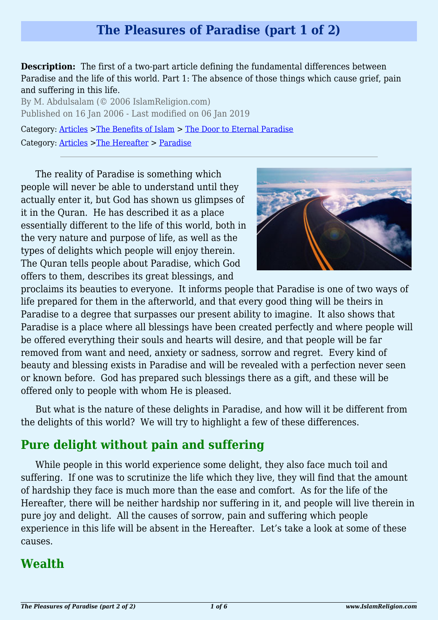## **The Pleasures of Paradise (part 1 of 2)**

**Description:** The first of a two-part article defining the fundamental differences between Paradise and the life of this world. Part 1: The absence of those things which cause grief, pain and suffering in this life.

By M. Abdulsalam (© 2006 IslamReligion.com) Published on 16 Jan 2006 - Last modified on 06 Jan 2019

Category: [Articles](http://www.islamreligion.com/articles/) >[The Benefits of Islam](http://www.islamreligion.com/category/43/) > [The Door to Eternal Paradise](http://www.islamreligion.com/category/102/) Category: [Articles](http://www.islamreligion.com/articles/) >[The Hereafter](http://www.islamreligion.com/category/59/) > [Paradise](http://www.islamreligion.com/category/60/)

The reality of Paradise is something which people will never be able to understand until they actually enter it, but God has shown us glimpses of it in the Quran. He has described it as a place essentially different to the life of this world, both in the very nature and purpose of life, as well as the types of delights which people will enjoy therein. The Quran tells people about Paradise, which God offers to them, describes its great blessings, and



proclaims its beauties to everyone. It informs people that Paradise is one of two ways of life prepared for them in the afterworld, and that every good thing will be theirs in Paradise to a degree that surpasses our present ability to imagine. It also shows that Paradise is a place where all blessings have been created perfectly and where people will be offered everything their souls and hearts will desire, and that people will be far removed from want and need, anxiety or sadness, sorrow and regret. Every kind of beauty and blessing exists in Paradise and will be revealed with a perfection never seen or known before. God has prepared such blessings there as a gift, and these will be offered only to people with whom He is pleased.

But what is the nature of these delights in Paradise, and how will it be different from the delights of this world? We will try to highlight a few of these differences.

### **Pure delight without pain and suffering**

While people in this world experience some delight, they also face much toil and suffering. If one was to scrutinize the life which they live, they will find that the amount of hardship they face is much more than the ease and comfort. As for the life of the Hereafter, there will be neither hardship nor suffering in it, and people will live therein in pure joy and delight. All the causes of sorrow, pain and suffering which people experience in this life will be absent in the Hereafter. Let's take a look at some of these causes.

### **Wealth**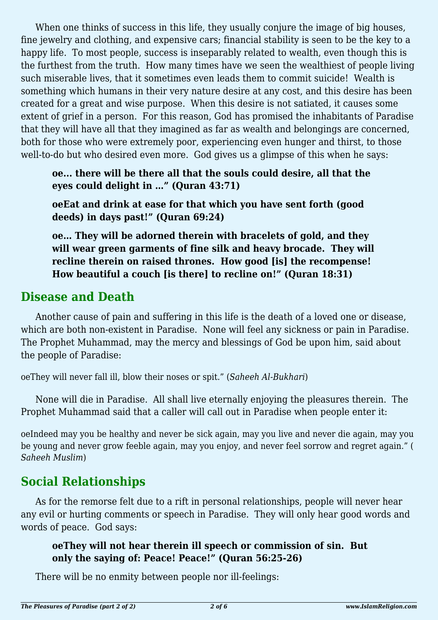When one thinks of success in this life, they usually conjure the image of big houses, fine jewelry and clothing, and expensive cars; financial stability is seen to be the key to a happy life. To most people, success is inseparably related to wealth, even though this is the furthest from the truth. How many times have we seen the wealthiest of people living such miserable lives, that it sometimes even leads them to commit suicide! Wealth is something which humans in their very nature desire at any cost, and this desire has been created for a great and wise purpose. When this desire is not satiated, it causes some extent of grief in a person. For this reason, God has promised the inhabitants of Paradise that they will have all that they imagined as far as wealth and belongings are concerned, both for those who were extremely poor, experiencing even hunger and thirst, to those well-to-do but who desired even more. God gives us a glimpse of this when he says:

**oe... there will be there all that the souls could desire, all that the eyes could delight in …" (Quran 43:71)**

**oeEat and drink at ease for that which you have sent forth (good deeds) in days past!" (Quran 69:24)**

**oe… They will be adorned therein with bracelets of gold, and they will wear green garments of fine silk and heavy brocade. They will recline therein on raised thrones. How good [is] the recompense! How beautiful a couch [is there] to recline on!" (Quran 18:31)**

### **Disease and Death**

Another cause of pain and suffering in this life is the death of a loved one or disease, which are both non-existent in Paradise. None will feel any sickness or pain in Paradise. The Prophet Muhammad, may the mercy and blessings of God be upon him, said about the people of Paradise:

oeThey will never fall ill, blow their noses or spit." (*Saheeh Al-Bukhari*)

None will die in Paradise. All shall live eternally enjoying the pleasures therein. The Prophet Muhammad said that a caller will call out in Paradise when people enter it:

oeIndeed may you be healthy and never be sick again, may you live and never die again, may you be young and never grow feeble again, may you enjoy, and never feel sorrow and regret again." ( *Saheeh Muslim*)

### **Social Relationships**

As for the remorse felt due to a rift in personal relationships, people will never hear any evil or hurting comments or speech in Paradise. They will only hear good words and words of peace. God says:

#### **oeThey will not hear therein ill speech or commission of sin. But only the saying of: Peace! Peace!" (Quran 56:25-26)**

There will be no enmity between people nor ill-feelings: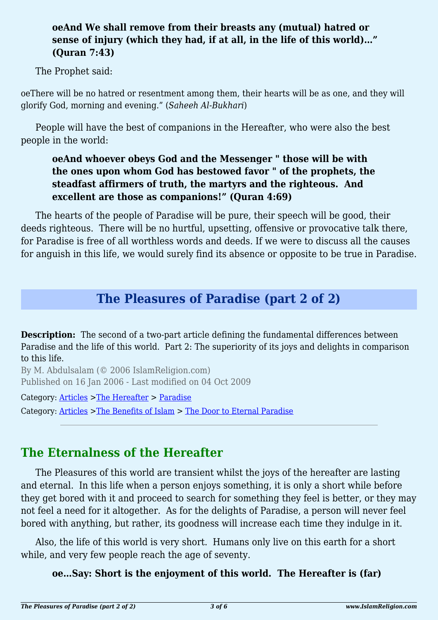#### **oeAnd We shall remove from their breasts any (mutual) hatred or sense of injury (which they had, if at all, in the life of this world)…" (Quran 7:43)**

The Prophet said:

oeThere will be no hatred or resentment among them, their hearts will be as one, and they will glorify God, morning and evening." (*Saheeh Al-Bukhari*)

People will have the best of companions in the Hereafter, who were also the best people in the world:

#### **oeAnd whoever obeys God and the Messenger " those will be with the ones upon whom God has bestowed favor " of the prophets, the steadfast affirmers of truth, the martyrs and the righteous. And excellent are those as companions!" (Quran 4:69)**

The hearts of the people of Paradise will be pure, their speech will be good, their deeds righteous. There will be no hurtful, upsetting, offensive or provocative talk there, for Paradise is free of all worthless words and deeds. If we were to discuss all the causes for anguish in this life, we would surely find its absence or opposite to be true in Paradise.

## **The Pleasures of Paradise (part 2 of 2)**

**Description:** The second of a two-part article defining the fundamental differences between Paradise and the life of this world. Part 2: The superiority of its joys and delights in comparison to this life.

By M. Abdulsalam (© 2006 IslamReligion.com) Published on 16 Jan 2006 - Last modified on 04 Oct 2009

Category: [Articles](http://www.islamreligion.com/articles/) >[The Hereafter](http://www.islamreligion.com/category/59/) > [Paradise](http://www.islamreligion.com/category/60/)

Category: [Articles](http://www.islamreligion.com/articles/) >[The Benefits of Islam](http://www.islamreligion.com/category/43/) > [The Door to Eternal Paradise](http://www.islamreligion.com/category/102/)

# **The Eternalness of the Hereafter**

The Pleasures of this world are transient whilst the joys of the hereafter are lasting and eternal. In this life when a person enjoys something, it is only a short while before they get bored with it and proceed to search for something they feel is better, or they may not feel a need for it altogether. As for the delights of Paradise, a person will never feel bored with anything, but rather, its goodness will increase each time they indulge in it.

Also, the life of this world is very short. Humans only live on this earth for a short while, and very few people reach the age of seventy.

#### **oe…Say: Short is the enjoyment of this world. The Hereafter is (far)**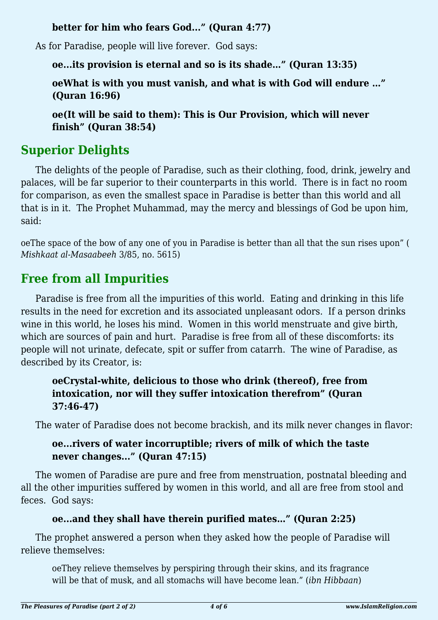#### **better for him who fears God..." (Quran 4:77)**

As for Paradise, people will live forever. God says:

**oe...its provision is eternal and so is its shade…" (Quran 13:35)**

**oeWhat is with you must vanish, and what is with God will endure …" (Quran 16:96)**

**oe(It will be said to them): This is Our Provision, which will never finish" (Quran 38:54)**

# **Superior Delights**

The delights of the people of Paradise, such as their clothing, food, drink, jewelry and palaces, will be far superior to their counterparts in this world. There is in fact no room for comparison, as even the smallest space in Paradise is better than this world and all that is in it. The Prophet Muhammad, may the mercy and blessings of God be upon him, said:

oeThe space of the bow of any one of you in Paradise is better than all that the sun rises upon" ( *Mishkaat al-Masaabeeh* 3/85, no. 5615)

# **Free from all Impurities**

Paradise is free from all the impurities of this world. Eating and drinking in this life results in the need for excretion and its associated unpleasant odors. If a person drinks wine in this world, he loses his mind. Women in this world menstruate and give birth, which are sources of pain and hurt. Paradise is free from all of these discomforts: its people will not urinate, defecate, spit or suffer from catarrh. The wine of Paradise, as described by its Creator, is:

#### **oeCrystal-white, delicious to those who drink (thereof), free from intoxication, nor will they suffer intoxication therefrom" (Quran 37:46-47)**

The water of Paradise does not become brackish, and its milk never changes in flavor:

### **oe...rivers of water incorruptible; rivers of milk of which the taste never changes..." (Quran 47:15)**

The women of Paradise are pure and free from menstruation, postnatal bleeding and all the other impurities suffered by women in this world, and all are free from stool and feces. God says:

### **oe...and they shall have therein purified mates…" (Quran 2:25)**

The prophet answered a person when they asked how the people of Paradise will relieve themselves:

oeThey relieve themselves by perspiring through their skins, and its fragrance will be that of musk, and all stomachs will have become lean." (*ibn Hibbaan*)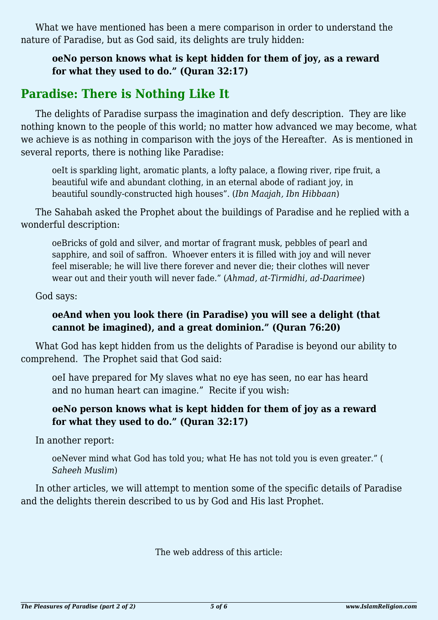What we have mentioned has been a mere comparison in order to understand the nature of Paradise, but as God said, its delights are truly hidden:

**oeNo person knows what is kept hidden for them of joy, as a reward for what they used to do." (Quran 32:17)**

## **Paradise: There is Nothing Like It**

The delights of Paradise surpass the imagination and defy description. They are like nothing known to the people of this world; no matter how advanced we may become, what we achieve is as nothing in comparison with the joys of the Hereafter. As is mentioned in several reports, there is nothing like Paradise:

oeIt is sparkling light, aromatic plants, a lofty palace, a flowing river, ripe fruit, a beautiful wife and abundant clothing, in an eternal abode of radiant joy, in beautiful soundly-constructed high houses". (*Ibn Maajah, Ibn Hibbaan*)

The Sahabah asked the Prophet about the buildings of Paradise and he replied with a wonderful description:

oeBricks of gold and silver, and mortar of fragrant musk, pebbles of pearl and sapphire, and soil of saffron. Whoever enters it is filled with joy and will never feel miserable; he will live there forever and never die; their clothes will never wear out and their youth will never fade." (*Ahmad, at-Tirmidhi, ad-Daarimee*)

God says:

#### **oeAnd when you look there (in Paradise) you will see a delight (that cannot be imagined), and a great dominion." (Quran 76:20)**

What God has kept hidden from us the delights of Paradise is beyond our ability to comprehend. The Prophet said that God said:

oeI have prepared for My slaves what no eye has seen, no ear has heard and no human heart can imagine." Recite if you wish:

#### **oeNo person knows what is kept hidden for them of joy as a reward for what they used to do." (Quran 32:17)**

In another report:

oeNever mind what God has told you; what He has not told you is even greater." ( *Saheeh Muslim*)

In other articles, we will attempt to mention some of the specific details of Paradise and the delights therein described to us by God and His last Prophet.

The web address of this article: